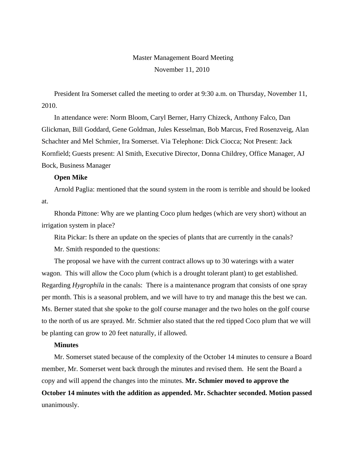# Master Management Board Meeting November 11, 2010

President Ira Somerset called the meeting to order at 9:30 a.m. on Thursday, November 11, 2010.

In attendance were: Norm Bloom, Caryl Berner, Harry Chizeck, Anthony Falco, Dan Glickman, Bill Goddard, Gene Goldman, Jules Kesselman, Bob Marcus, Fred Rosenzveig, Alan Schachter and Mel Schmier, Ira Somerset. Via Telephone: Dick Ciocca; Not Present: Jack Kornfield; Guests present: Al Smith, Executive Director, Donna Childrey, Office Manager, AJ Bock, Business Manager

#### **Open Mike**

Arnold Paglia: mentioned that the sound system in the room is terrible and should be looked at.

Rhonda Pittone: Why are we planting Coco plum hedges (which are very short) without an irrigation system in place?

Rita Pickar: Is there an update on the species of plants that are currently in the canals?

Mr. Smith responded to the questions:

The proposal we have with the current contract allows up to 30 waterings with a water wagon. This will allow the Coco plum (which is a drought tolerant plant) to get established. Regarding *Hygrophila* in the canals: There is a maintenance program that consists of one spray per month. This is a seasonal problem, and we will have to try and manage this the best we can. Ms. Berner stated that she spoke to the golf course manager and the two holes on the golf course to the north of us are sprayed. Mr. Schmier also stated that the red tipped Coco plum that we will be planting can grow to 20 feet naturally, if allowed.

# **Minutes**

Mr. Somerset stated because of the complexity of the October 14 minutes to censure a Board member, Mr. Somerset went back through the minutes and revised them. He sent the Board a copy and will append the changes into the minutes. **Mr. Schmier moved to approve the October 14 minutes with the addition as appended. Mr. Schachter seconded. Motion passed** unanimously.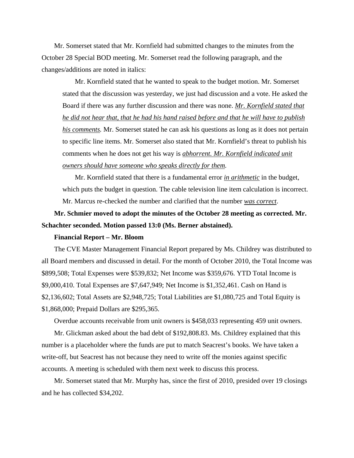Mr. Somerset stated that Mr. Kornfield had submitted changes to the minutes from the October 28 Special BOD meeting. Mr. Somerset read the following paragraph, and the changes/additions are noted in italics:

Mr. Kornfield stated that he wanted to speak to the budget motion. Mr. Somerset stated that the discussion was yesterday, we just had discussion and a vote. He asked the Board if there was any further discussion and there was none. *Mr. Kornfield stated that he did not hear that, that he had his hand raised before and that he will have to publish his comments.* Mr. Somerset stated he can ask his questions as long as it does not pertain to specific line items. Mr. Somerset also stated that Mr. Kornfield's threat to publish his comments when he does not get his way is *abhorrent. Mr. Kornfield indicated unit owners should have someone who speaks directly for them.*

Mr. Kornfield stated that there is a fundamental error *in arithmetic* in the budget, which puts the budget in question. The cable television line item calculation is incorrect. Mr. Marcus re-checked the number and clarified that the number *was correct*.

# **Mr. Schmier moved to adopt the minutes of the October 28 meeting as corrected. Mr. Schachter seconded. Motion passed 13:0 (Ms. Berner abstained).**

# **Financial Report – Mr. Bloom**

The CVE Master Management Financial Report prepared by Ms. Childrey was distributed to all Board members and discussed in detail. For the month of October 2010, the Total Income was \$899,508; Total Expenses were \$539,832; Net Income was \$359,676. YTD Total Income is \$9,000,410. Total Expenses are \$7,647,949; Net Income is \$1,352,461. Cash on Hand is \$2,136,602; Total Assets are \$2,948,725; Total Liabilities are \$1,080,725 and Total Equity is \$1,868,000; Prepaid Dollars are \$295,365.

Overdue accounts receivable from unit owners is \$458,033 representing 459 unit owners. Mr. Glickman asked about the bad debt of \$192,808.83. Ms. Childrey explained that this number is a placeholder where the funds are put to match Seacrest's books. We have taken a write-off, but Seacrest has not because they need to write off the monies against specific accounts. A meeting is scheduled with them next week to discuss this process.

Mr. Somerset stated that Mr. Murphy has, since the first of 2010, presided over 19 closings and he has collected \$34,202.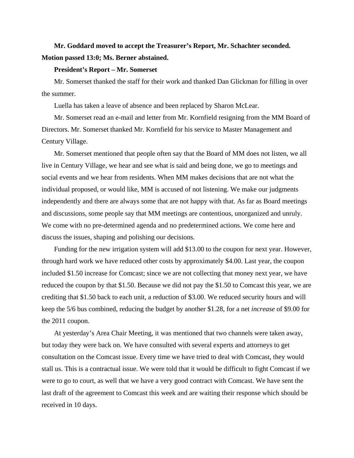# **Mr. Goddard moved to accept the Treasurer's Report, Mr. Schachter seconded. Motion passed 13:0; Ms. Berner abstained.**

## **President's Report – Mr. Somerset**

Mr. Somerset thanked the staff for their work and thanked Dan Glickman for filling in over the summer.

Luella has taken a leave of absence and been replaced by Sharon McLear.

Mr. Somerset read an e-mail and letter from Mr. Kornfield resigning from the MM Board of Directors. Mr. Somerset thanked Mr. Kornfield for his service to Master Management and Century Village.

Mr. Somerset mentioned that people often say that the Board of MM does not listen, we all live in Century Village, we hear and see what is said and being done, we go to meetings and social events and we hear from residents. When MM makes decisions that are not what the individual proposed, or would like, MM is accused of not listening. We make our judgments independently and there are always some that are not happy with that. As far as Board meetings and discussions, some people say that MM meetings are contentious, unorganized and unruly. We come with no pre-determined agenda and no predetermined actions. We come here and discuss the issues, shaping and polishing our decisions.

Funding for the new irrigation system will add \$13.00 to the coupon for next year. However, through hard work we have reduced other costs by approximately \$4.00. Last year, the coupon included \$1.50 increase for Comcast; since we are not collecting that money next year, we have reduced the coupon by that \$1.50. Because we did not pay the \$1.50 to Comcast this year, we are crediting that \$1.50 back to each unit, a reduction of \$3.00. We reduced security hours and will keep the 5/6 bus combined, reducing the budget by another \$1.28, for a net *increase* of \$9.00 for the 2011 coupon.

At yesterday's Area Chair Meeting, it was mentioned that two channels were taken away, but today they were back on. We have consulted with several experts and attorneys to get consultation on the Comcast issue. Every time we have tried to deal with Comcast, they would stall us. This is a contractual issue. We were told that it would be difficult to fight Comcast if we were to go to court, as well that we have a very good contract with Comcast. We have sent the last draft of the agreement to Comcast this week and are waiting their response which should be received in 10 days.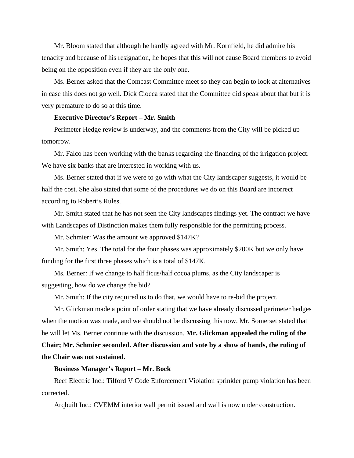Mr. Bloom stated that although he hardly agreed with Mr. Kornfield, he did admire his tenacity and because of his resignation, he hopes that this will not cause Board members to avoid being on the opposition even if they are the only one.

Ms. Berner asked that the Comcast Committee meet so they can begin to look at alternatives in case this does not go well. Dick Ciocca stated that the Committee did speak about that but it is very premature to do so at this time.

#### **Executive Director's Report – Mr. Smith**

Perimeter Hedge review is underway, and the comments from the City will be picked up tomorrow.

Mr. Falco has been working with the banks regarding the financing of the irrigation project. We have six banks that are interested in working with us.

Ms. Berner stated that if we were to go with what the City landscaper suggests, it would be half the cost. She also stated that some of the procedures we do on this Board are incorrect according to Robert's Rules.

Mr. Smith stated that he has not seen the City landscapes findings yet. The contract we have with Landscapes of Distinction makes them fully responsible for the permitting process.

Mr. Schmier: Was the amount we approved \$147K?

Mr. Smith: Yes. The total for the four phases was approximately \$200K but we only have funding for the first three phases which is a total of \$147K.

Ms. Berner: If we change to half ficus/half cocoa plums, as the City landscaper is suggesting, how do we change the bid?

Mr. Smith: If the city required us to do that, we would have to re-bid the project.

Mr. Glickman made a point of order stating that we have already discussed perimeter hedges when the motion was made, and we should not be discussing this now. Mr. Somerset stated that he will let Ms. Berner continue with the discussion. **Mr. Glickman appealed the ruling of the Chair; Mr. Schmier seconded. After discussion and vote by a show of hands, the ruling of the Chair was not sustained.** 

# **Business Manager's Report – Mr. Bock**

Reef Electric Inc.: Tilford V Code Enforcement Violation sprinkler pump violation has been corrected.

Arqbuilt Inc.: CVEMM interior wall permit issued and wall is now under construction.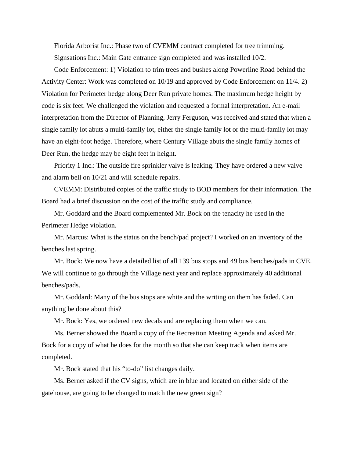Florida Arborist Inc.: Phase two of CVEMM contract completed for tree trimming. Signsations Inc.: Main Gate entrance sign completed and was installed 10/2.

Code Enforcement: 1) Violation to trim trees and bushes along Powerline Road behind the Activity Center: Work was completed on 10/19 and approved by Code Enforcement on 11/4. 2) Violation for Perimeter hedge along Deer Run private homes. The maximum hedge height by code is six feet. We challenged the violation and requested a formal interpretation. An e-mail interpretation from the Director of Planning, Jerry Ferguson, was received and stated that when a single family lot abuts a multi-family lot, either the single family lot or the multi-family lot may have an eight-foot hedge. Therefore, where Century Village abuts the single family homes of Deer Run, the hedge may be eight feet in height.

Priority 1 Inc.: The outside fire sprinkler valve is leaking. They have ordered a new valve and alarm bell on 10/21 and will schedule repairs.

CVEMM: Distributed copies of the traffic study to BOD members for their information. The Board had a brief discussion on the cost of the traffic study and compliance.

Mr. Goddard and the Board complemented Mr. Bock on the tenacity he used in the Perimeter Hedge violation.

Mr. Marcus: What is the status on the bench/pad project? I worked on an inventory of the benches last spring.

Mr. Bock: We now have a detailed list of all 139 bus stops and 49 bus benches/pads in CVE. We will continue to go through the Village next year and replace approximately 40 additional benches/pads.

Mr. Goddard: Many of the bus stops are white and the writing on them has faded. Can anything be done about this?

Mr. Bock: Yes, we ordered new decals and are replacing them when we can.

Ms. Berner showed the Board a copy of the Recreation Meeting Agenda and asked Mr. Bock for a copy of what he does for the month so that she can keep track when items are completed.

Mr. Bock stated that his "to-do" list changes daily.

Ms. Berner asked if the CV signs, which are in blue and located on either side of the gatehouse, are going to be changed to match the new green sign?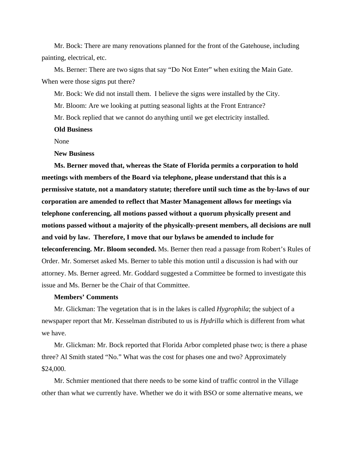Mr. Bock: There are many renovations planned for the front of the Gatehouse, including painting, electrical, etc.

Ms. Berner: There are two signs that say "Do Not Enter" when exiting the Main Gate. When were those signs put there?

Mr. Bock: We did not install them. I believe the signs were installed by the City.

Mr. Bloom: Are we looking at putting seasonal lights at the Front Entrance?

Mr. Bock replied that we cannot do anything until we get electricity installed.

#### **Old Business**

None

#### **New Business**

**Ms. Berner moved that, whereas the State of Florida permits a corporation to hold meetings with members of the Board via telephone, please understand that this is a permissive statute, not a mandatory statute; therefore until such time as the by-laws of our corporation are amended to reflect that Master Management allows for meetings via telephone conferencing, all motions passed without a quorum physically present and motions passed without a majority of the physically-present members, all decisions are null and void by law. Therefore, I move that our bylaws be amended to include for teleconferencing. Mr. Bloom seconded.** Ms. Berner then read a passage from Robert's Rules of Order. Mr. Somerset asked Ms. Berner to table this motion until a discussion is had with our attorney. Ms. Berner agreed. Mr. Goddard suggested a Committee be formed to investigate this issue and Ms. Berner be the Chair of that Committee.

# **Members' Comments**

Mr. Glickman: The vegetation that is in the lakes is called *Hygrophila*; the subject of a newspaper report that Mr. Kesselman distributed to us is *Hydrilla* which is different from what we have.

Mr. Glickman: Mr. Bock reported that Florida Arbor completed phase two; is there a phase three? Al Smith stated "No." What was the cost for phases one and two? Approximately \$24,000.

Mr. Schmier mentioned that there needs to be some kind of traffic control in the Village other than what we currently have. Whether we do it with BSO or some alternative means, we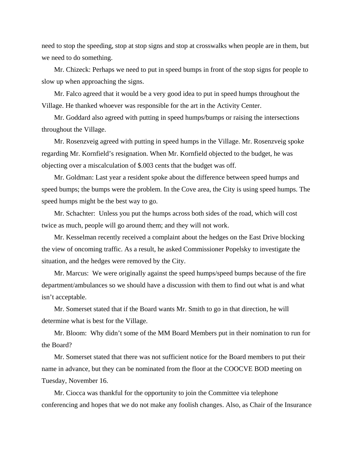need to stop the speeding, stop at stop signs and stop at crosswalks when people are in them, but we need to do something.

Mr. Chizeck: Perhaps we need to put in speed bumps in front of the stop signs for people to slow up when approaching the signs.

Mr. Falco agreed that it would be a very good idea to put in speed humps throughout the Village. He thanked whoever was responsible for the art in the Activity Center.

Mr. Goddard also agreed with putting in speed humps/bumps or raising the intersections throughout the Village.

Mr. Rosenzveig agreed with putting in speed humps in the Village. Mr. Rosenzveig spoke regarding Mr. Kornfield's resignation. When Mr. Kornfield objected to the budget, he was objecting over a miscalculation of \$.003 cents that the budget was off.

Mr. Goldman: Last year a resident spoke about the difference between speed humps and speed bumps; the bumps were the problem. In the Cove area, the City is using speed humps. The speed humps might be the best way to go.

Mr. Schachter: Unless you put the humps across both sides of the road, which will cost twice as much, people will go around them; and they will not work.

Mr. Kesselman recently received a complaint about the hedges on the East Drive blocking the view of oncoming traffic. As a result, he asked Commissioner Popelsky to investigate the situation, and the hedges were removed by the City.

Mr. Marcus: We were originally against the speed humps/speed bumps because of the fire department/ambulances so we should have a discussion with them to find out what is and what isn't acceptable.

Mr. Somerset stated that if the Board wants Mr. Smith to go in that direction, he will determine what is best for the Village.

Mr. Bloom: Why didn't some of the MM Board Members put in their nomination to run for the Board?

Mr. Somerset stated that there was not sufficient notice for the Board members to put their name in advance, but they can be nominated from the floor at the COOCVE BOD meeting on Tuesday, November 16.

Mr. Ciocca was thankful for the opportunity to join the Committee via telephone conferencing and hopes that we do not make any foolish changes. Also, as Chair of the Insurance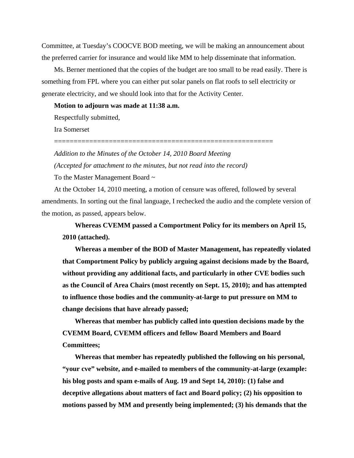Committee, at Tuesday's COOCVE BOD meeting, we will be making an announcement about the preferred carrier for insurance and would like MM to help disseminate that information.

Ms. Berner mentioned that the copies of the budget are too small to be read easily. There is something from FPL where you can either put solar panels on flat roofs to sell electricity or generate electricity, and we should look into that for the Activity Center.

## **Motion to adjourn was made at 11:38 a.m.**

Respectfully submitted,

Ira Somerset

*Addition to the Minutes of the October 14, 2010 Board Meeting (Accepted for attachment to the minutes, but not read into the record)*

========================================================

To the Master Management Board ~

At the October 14, 2010 meeting, a motion of censure was offered, followed by several amendments. In sorting out the final language, I rechecked the audio and the complete version of the motion, as passed, appears below.

**Whereas CVEMM passed a Comportment Policy for its members on April 15, 2010 (attached).** 

**Whereas a member of the BOD of Master Management, has repeatedly violated that Comportment Policy by publicly arguing against decisions made by the Board, without providing any additional facts, and particularly in other CVE bodies such as the Council of Area Chairs (most recently on Sept. 15, 2010); and has attempted to influence those bodies and the community-at-large to put pressure on MM to change decisions that have already passed;** 

**Whereas that member has publicly called into question decisions made by the CVEMM Board, CVEMM officers and fellow Board Members and Board Committees;** 

**Whereas that member has repeatedly published the following on his personal, "your cve" website, and e-mailed to members of the community-at-large (example: his blog posts and spam e-mails of Aug. 19 and Sept 14, 2010): (1) false and deceptive allegations about matters of fact and Board policy; (2) his opposition to motions passed by MM and presently being implemented; (3) his demands that the**